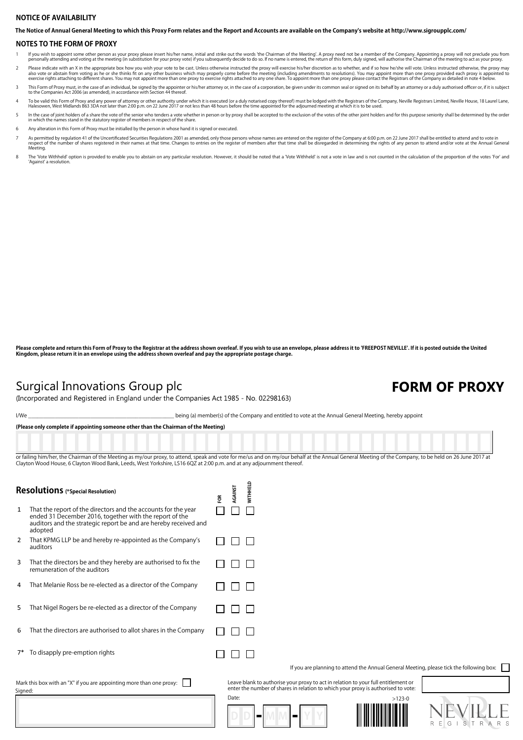### **NOTICE OF AVAILABILITY**

**The Notice of Annual General Meeting to which this Proxy Form relates and the Report and Accounts are available on the Company's website at http://www.sigroupplc.com/**

#### **NOTES TO THE FORM OF PROXY**

- lf you wish to appoint some other person as your proxy please insert his/her name, initial and strike out the words 'the Chairman of the Meeting'. A proxy need not be a member of the Company. Appointing a proxy will not pr 1
- Please indicate with an X in the appropriate box how you wish your vote to be cast. Unless othenwise instructed the proxy will exercise his/her discretion as to whether, and if so how he/she will vote. Unless instructed ot 2
- This Form of Proxy must, in the case of an individual, be signed by the appointer or his/her attorney or, in the case of a corporation, be given under its common seal or signed on its behalf by an attorney or a duly author 3
- To be valid this Form of Proxy and any power of attorney or other authority under which it is excuted (or a duly notarised copy thereof) must be lodged with the Registrars of the Company, Neville Registrars Limited, Nevill 4
- In the case of ioint holders of a share the vote of the senior who tenders a vote whether in person or by proxy shall be accepted to the exclusion of the votes of the other joint holders and for this purpose seniority shal in the case of joint holders of a share the vote of the senior who tenders a vote when in which the names stand in the statutory register of members in respect of the share. 5
- 6 Any alteration in this Form of Proxy must be initialled by the person in whose hand it is signed or executed.
- As permitted by regulation 41 of the Uncertificated Securities Regulations 2001 as amended, only those persons whose names are entered on the register of the Company at 6:00 p.m. on 22 June 2017 shall be entitled to attend respect o<br>Meeting. 7
- The Vote Withheld' option is provided to enable you to abstain on any particular resolution. However, it should be noted that a 'Vote Withheld' is not a vote in law and is not counted in the calculation of the proportion o 8

Please complete and return this Form of Proxy to the Registrar at the address shown overleaf. If you wish to use an envelope, please address it to 'FREEPOST NEVILLE'. If it is posted outside the United<br>Kingdom, please retu

### Surgical Innovations Group plc

(Incorporated and Registered in England under the Companies Act 1985 - No. 02298163)

## FORM OF PROXY

I/We \_\_\_\_\_\_\_\_\_\_\_\_\_\_\_\_\_\_\_\_\_\_\_\_\_\_\_\_\_\_\_\_\_\_\_\_\_\_\_\_\_\_\_\_\_\_\_\_\_ being (a) member(s) of the Company and entitled to vote at the Annual General Meeting, hereby appoint

**(Please only complete if appointing someone other than the Chairman of the Meeting)**

or failing him/her, the Chairman of the Meeting as my/our proxy, to attend, speak and vote for me/us and on my/our behalf at the Annual General Meeting of the Company, to be held on 26 June 2017 at Clayton Wood House, 6 Clayton Wood Bank, Leeds, West Yorkshire, LS16 6QZ at 2:00 p.m. and at any adjournment thereof.

**D D M M**

| Resolutions (*Special Resolution)                                               |                                                                                                                                                                                                          | ទី | <b>AGAINST</b> | <b>WITHHELD</b>                                                                                                                                                         |          |
|---------------------------------------------------------------------------------|----------------------------------------------------------------------------------------------------------------------------------------------------------------------------------------------------------|----|----------------|-------------------------------------------------------------------------------------------------------------------------------------------------------------------------|----------|
| $\mathbf{1}$                                                                    | That the report of the directors and the accounts for the year<br>ended 31 December 2016, together with the report of the<br>auditors and the strategic report be and are hereby received and<br>adopted |    |                |                                                                                                                                                                         |          |
| 2                                                                               | That KPMG LLP be and hereby re-appointed as the Company's<br>auditors                                                                                                                                    |    |                |                                                                                                                                                                         |          |
| 3                                                                               | That the directors be and they hereby are authorised to fix the<br>remuneration of the auditors                                                                                                          |    |                |                                                                                                                                                                         |          |
| 4                                                                               | That Melanie Ross be re-elected as a director of the Company                                                                                                                                             |    |                |                                                                                                                                                                         |          |
| 5                                                                               | That Nigel Rogers be re-elected as a director of the Company                                                                                                                                             |    |                |                                                                                                                                                                         |          |
| 6                                                                               | That the directors are authorised to allot shares in the Company                                                                                                                                         |    |                |                                                                                                                                                                         |          |
|                                                                                 | To disapply pre-emption rights                                                                                                                                                                           |    |                |                                                                                                                                                                         |          |
|                                                                                 |                                                                                                                                                                                                          |    |                | If you are planning to attend the Annual General Mee                                                                                                                    |          |
| Mark this box with an "X" if you are appointing more than one proxy:<br>Signed: |                                                                                                                                                                                                          |    |                | Leave blank to authorise your proxy to act in relation to your full entitlement or<br>enter the number of shares in relation to which your proxy is authorised to vote: |          |
|                                                                                 |                                                                                                                                                                                                          |    | Date:          |                                                                                                                                                                         | $>123-0$ |



If you are planning to attend the Annual General Meeting, please tick the following box: